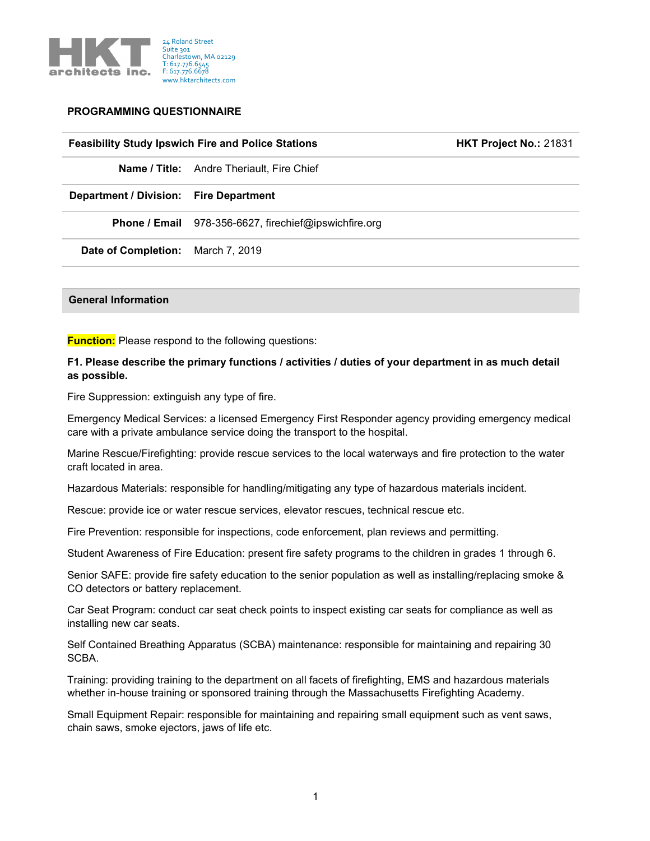

#### PROGRAMMING QUESTIONNAIRE

## **Feasibility Study Ipswich Fire and Police Stations Fig. 31831 EXTER 1881** HKT Project No.: 21831

Name / Title: Andre Theriault, Fire Chief

Department / Division: Fire Department

Phone / Email 978-356-6627, firechief@ipswichfire.org

Date of Completion: March 7, 2019

#### General Information

**Function:** Please respond to the following questions:

#### F1. Please describe the primary functions / activities / duties of your department in as much detail as possible.

Fire Suppression: extinguish any type of fire.

Emergency Medical Services: a licensed Emergency First Responder agency providing emergency medical care with a private ambulance service doing the transport to the hospital.

Marine Rescue/Firefighting: provide rescue services to the local waterways and fire protection to the water craft located in area.

Hazardous Materials: responsible for handling/mitigating any type of hazardous materials incident.

Rescue: provide ice or water rescue services, elevator rescues, technical rescue etc.

Fire Prevention: responsible for inspections, code enforcement, plan reviews and permitting.

Student Awareness of Fire Education: present fire safety programs to the children in grades 1 through 6.

Senior SAFE: provide fire safety education to the senior population as well as installing/replacing smoke & CO detectors or battery replacement.

Car Seat Program: conduct car seat check points to inspect existing car seats for compliance as well as installing new car seats.

Self Contained Breathing Apparatus (SCBA) maintenance: responsible for maintaining and repairing 30 SCBA.

Training: providing training to the department on all facets of firefighting, EMS and hazardous materials whether in-house training or sponsored training through the Massachusetts Firefighting Academy.

Small Equipment Repair: responsible for maintaining and repairing small equipment such as vent saws, chain saws, smoke ejectors, jaws of life etc.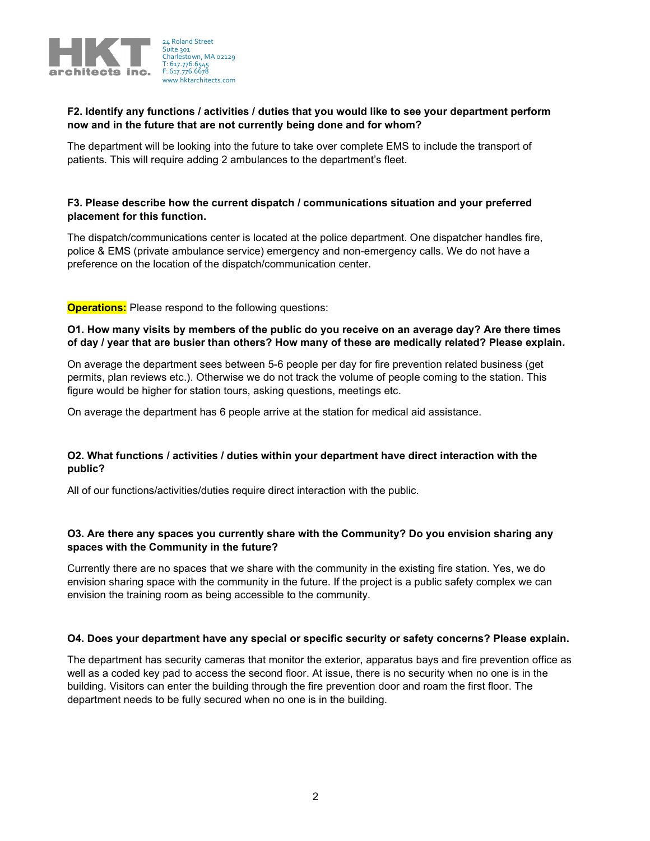

## F2. Identify any functions / activities / duties that you would like to see your department perform now and in the future that are not currently being done and for whom?

The department will be looking into the future to take over complete EMS to include the transport of patients. This will require adding 2 ambulances to the department's fleet.

#### F3. Please describe how the current dispatch / communications situation and your preferred placement for this function.

The dispatch/communications center is located at the police department. One dispatcher handles fire, police & EMS (private ambulance service) emergency and non-emergency calls. We do not have a preference on the location of the dispatch/communication center.

**Operations:** Please respond to the following questions:

## O1. How many visits by members of the public do you receive on an average day? Are there times of day / year that are busier than others? How many of these are medically related? Please explain.

On average the department sees between 5-6 people per day for fire prevention related business (get permits, plan reviews etc.). Otherwise we do not track the volume of people coming to the station. This figure would be higher for station tours, asking questions, meetings etc.

On average the department has 6 people arrive at the station for medical aid assistance.

## O2. What functions / activities / duties within your department have direct interaction with the public?

All of our functions/activities/duties require direct interaction with the public.

## O3. Are there any spaces you currently share with the Community? Do you envision sharing any spaces with the Community in the future?

Currently there are no spaces that we share with the community in the existing fire station. Yes, we do envision sharing space with the community in the future. If the project is a public safety complex we can envision the training room as being accessible to the community.

#### O4. Does your department have any special or specific security or safety concerns? Please explain.

The department has security cameras that monitor the exterior, apparatus bays and fire prevention office as well as a coded key pad to access the second floor. At issue, there is no security when no one is in the building. Visitors can enter the building through the fire prevention door and roam the first floor. The department needs to be fully secured when no one is in the building.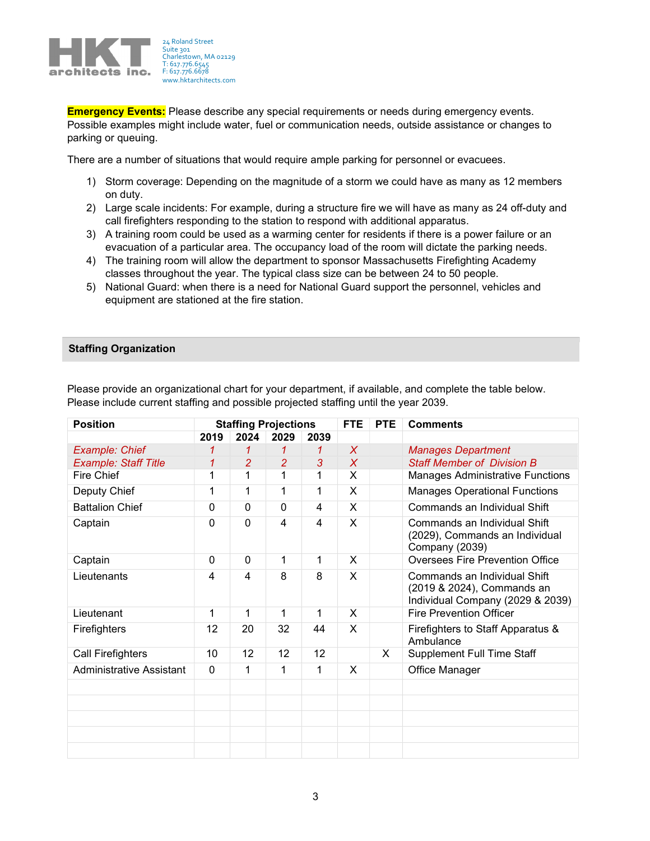

**Emergency Events:** Please describe any special requirements or needs during emergency events. Possible examples might include water, fuel or communication needs, outside assistance or changes to parking or queuing.

There are a number of situations that would require ample parking for personnel or evacuees.

- 1) Storm coverage: Depending on the magnitude of a storm we could have as many as 12 members on duty.
- 2) Large scale incidents: For example, during a structure fire we will have as many as 24 off-duty and call firefighters responding to the station to respond with additional apparatus.
- 3) A training room could be used as a warming center for residents if there is a power failure or an evacuation of a particular area. The occupancy load of the room will dictate the parking needs.
- 4) The training room will allow the department to sponsor Massachusetts Firefighting Academy classes throughout the year. The typical class size can be between 24 to 50 people.
- 5) National Guard: when there is a need for National Guard support the personnel, vehicles and equipment are stationed at the fire station.

#### Staffing Organization

| <b>Position</b>             | <b>Staffing Projections</b> |                | <b>FTE</b>     | <b>PTE</b> | <b>Comments</b> |   |                                                                                                |  |  |  |
|-----------------------------|-----------------------------|----------------|----------------|------------|-----------------|---|------------------------------------------------------------------------------------------------|--|--|--|
|                             | 2019                        | 2024           | 2029           | 2039       |                 |   |                                                                                                |  |  |  |
| Example: Chief              |                             | 1              | 1              | 1          | X               |   | <b>Manages Department</b>                                                                      |  |  |  |
| <b>Example: Staff Title</b> | 1                           | $\overline{2}$ | $\overline{2}$ | 3          | X               |   | <b>Staff Member of Division B</b>                                                              |  |  |  |
| Fire Chief                  | 1                           | 1              | 1              | 1          | X               |   | <b>Manages Administrative Functions</b>                                                        |  |  |  |
| Deputy Chief                | 1                           | 1              | 1              | 1          | X               |   | <b>Manages Operational Functions</b>                                                           |  |  |  |
| <b>Battalion Chief</b>      | $\Omega$                    | $\mathbf{0}$   | $\Omega$       | 4          | X               |   | Commands an Individual Shift                                                                   |  |  |  |
| Captain                     | 0                           | $\mathbf 0$    | 4              | 4          | X               |   | Commands an Individual Shift<br>(2029), Commands an Individual<br>Company (2039)               |  |  |  |
| Captain                     | 0                           | $\mathbf{0}$   | 1              | 1          | X               |   | <b>Oversees Fire Prevention Office</b>                                                         |  |  |  |
| Lieutenants                 | 4                           | 4              | 8              | 8          | X               |   | Commands an Individual Shift<br>(2019 & 2024), Commands an<br>Individual Company (2029 & 2039) |  |  |  |
| Lieutenant                  | 1                           | 1              | 1              | 1          | X               |   | <b>Fire Prevention Officer</b>                                                                 |  |  |  |
| Firefighters                | 12                          | 20             | 32             | 44         | X               |   | Firefighters to Staff Apparatus &<br>Ambulance                                                 |  |  |  |
| Call Firefighters           | 10                          | 12             | 12             | 12         |                 | X | <b>Supplement Full Time Staff</b>                                                              |  |  |  |
| Administrative Assistant    | $\mathbf{0}$                | 1              | 1              | 1          | X               |   | Office Manager                                                                                 |  |  |  |
|                             |                             |                |                |            |                 |   |                                                                                                |  |  |  |
|                             |                             |                |                |            |                 |   |                                                                                                |  |  |  |
|                             |                             |                |                |            |                 |   |                                                                                                |  |  |  |
|                             |                             |                |                |            |                 |   |                                                                                                |  |  |  |
|                             |                             |                |                |            |                 |   |                                                                                                |  |  |  |

Please provide an organizational chart for your department, if available, and complete the table below. Please include current staffing and possible projected staffing until the year 2039.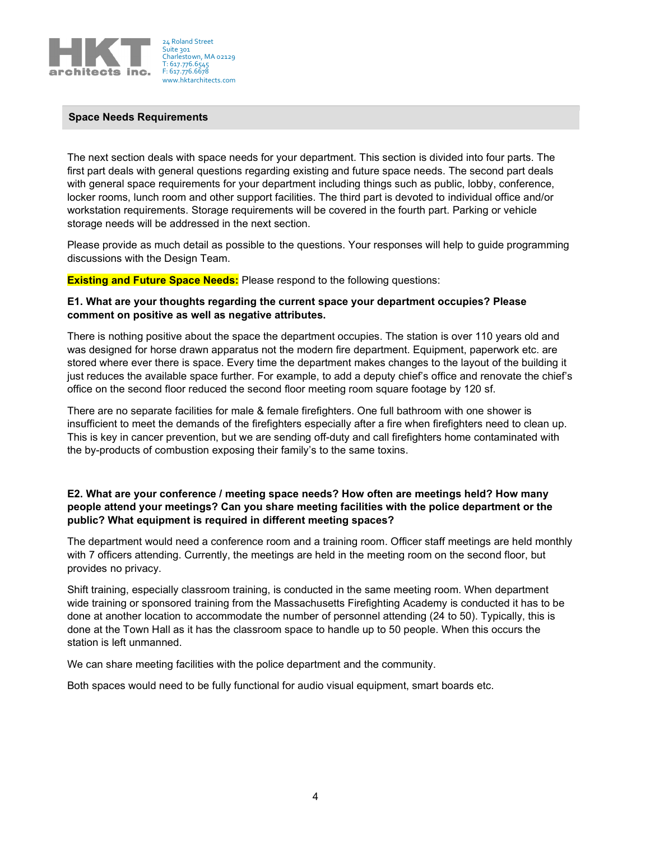

#### Space Needs Requirements

The next section deals with space needs for your department. This section is divided into four parts. The first part deals with general questions regarding existing and future space needs. The second part deals with general space requirements for your department including things such as public, lobby, conference, locker rooms, lunch room and other support facilities. The third part is devoted to individual office and/or workstation requirements. Storage requirements will be covered in the fourth part. Parking or vehicle storage needs will be addressed in the next section.

Please provide as much detail as possible to the questions. Your responses will help to guide programming discussions with the Design Team.

**Existing and Future Space Needs:** Please respond to the following questions:

#### E1. What are your thoughts regarding the current space your department occupies? Please comment on positive as well as negative attributes.

There is nothing positive about the space the department occupies. The station is over 110 years old and was designed for horse drawn apparatus not the modern fire department. Equipment, paperwork etc. are stored where ever there is space. Every time the department makes changes to the layout of the building it just reduces the available space further. For example, to add a deputy chief's office and renovate the chief's office on the second floor reduced the second floor meeting room square footage by 120 sf.

There are no separate facilities for male & female firefighters. One full bathroom with one shower is insufficient to meet the demands of the firefighters especially after a fire when firefighters need to clean up. This is key in cancer prevention, but we are sending off-duty and call firefighters home contaminated with the by-products of combustion exposing their family's to the same toxins.

# E2. What are your conference / meeting space needs? How often are meetings held? How many people attend your meetings? Can you share meeting facilities with the police department or the public? What equipment is required in different meeting spaces?

The department would need a conference room and a training room. Officer staff meetings are held monthly with 7 officers attending. Currently, the meetings are held in the meeting room on the second floor, but provides no privacy.

Shift training, especially classroom training, is conducted in the same meeting room. When department wide training or sponsored training from the Massachusetts Firefighting Academy is conducted it has to be done at another location to accommodate the number of personnel attending (24 to 50). Typically, this is done at the Town Hall as it has the classroom space to handle up to 50 people. When this occurs the station is left unmanned.

We can share meeting facilities with the police department and the community.

Both spaces would need to be fully functional for audio visual equipment, smart boards etc.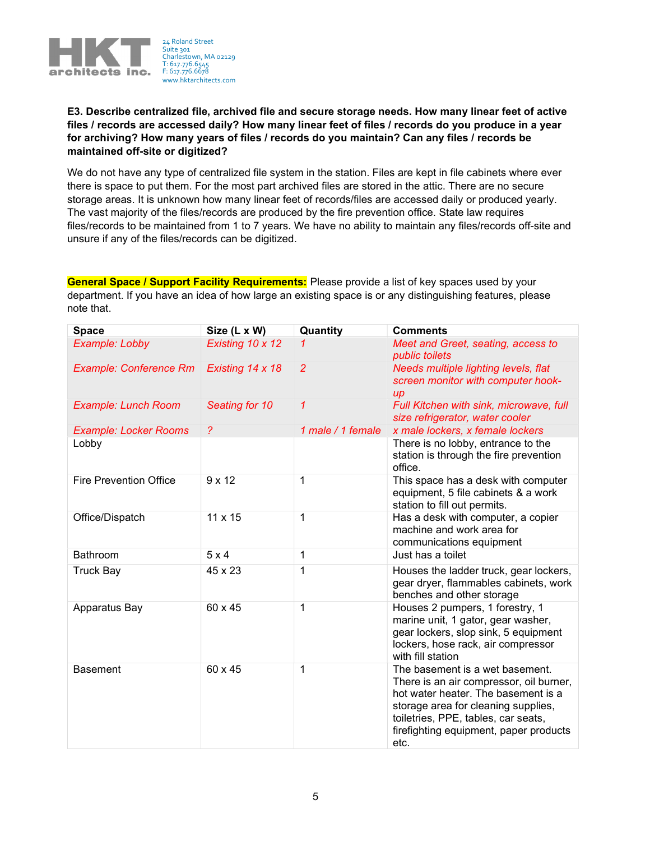

# E3. Describe centralized file, archived file and secure storage needs. How many linear feet of active files / records are accessed daily? How many linear feet of files / records do you produce in a year for archiving? How many years of files / records do you maintain? Can any files / records be maintained off-site or digitized?

We do not have any type of centralized file system in the station. Files are kept in file cabinets where ever there is space to put them. For the most part archived files are stored in the attic. There are no secure storage areas. It is unknown how many linear feet of records/files are accessed daily or produced yearly. The vast majority of the files/records are produced by the fire prevention office. State law requires files/records to be maintained from 1 to 7 years. We have no ability to maintain any files/records off-site and unsure if any of the files/records can be digitized.

General Space / Support Facility Requirements: Please provide a list of key spaces used by your department. If you have an idea of how large an existing space is or any distinguishing features, please note that.

| <b>Space</b>                  | Size (L x W)     | Quantity          | <b>Comments</b>                                                                                                                                                                                                                                   |  |  |  |  |
|-------------------------------|------------------|-------------------|---------------------------------------------------------------------------------------------------------------------------------------------------------------------------------------------------------------------------------------------------|--|--|--|--|
| Example: Lobby                | Existing 10 x 12 |                   | Meet and Greet, seating, access to<br>public toilets                                                                                                                                                                                              |  |  |  |  |
| <b>Example: Conference Rm</b> | Existing 14 x 18 | $\overline{2}$    | Needs multiple lighting levels, flat<br>screen monitor with computer hook-<br>$\mu$                                                                                                                                                               |  |  |  |  |
| <b>Example: Lunch Room</b>    | Seating for 10   | 1                 | Full Kitchen with sink, microwave, full<br>size refrigerator, water cooler                                                                                                                                                                        |  |  |  |  |
| <b>Example: Locker Rooms</b>  | $\tilde{?}$      | 1 male / 1 female | x male lockers, x female lockers                                                                                                                                                                                                                  |  |  |  |  |
| Lobby                         |                  |                   | There is no lobby, entrance to the<br>station is through the fire prevention<br>office.                                                                                                                                                           |  |  |  |  |
| <b>Fire Prevention Office</b> | $9 \times 12$    | 1                 | This space has a desk with computer<br>equipment, 5 file cabinets & a work<br>station to fill out permits.                                                                                                                                        |  |  |  |  |
| Office/Dispatch               | 11 x 15          | 1                 | Has a desk with computer, a copier<br>machine and work area for<br>communications equipment                                                                                                                                                       |  |  |  |  |
| Bathroom                      | 5x4              | 1                 | Just has a toilet                                                                                                                                                                                                                                 |  |  |  |  |
| <b>Truck Bay</b>              | 45 x 23          | 1                 | Houses the ladder truck, gear lockers,<br>gear dryer, flammables cabinets, work<br>benches and other storage                                                                                                                                      |  |  |  |  |
| Apparatus Bay                 | 60 x 45          | 1                 | Houses 2 pumpers, 1 forestry, 1<br>marine unit, 1 gator, gear washer,<br>gear lockers, slop sink, 5 equipment<br>lockers, hose rack, air compressor<br>with fill station                                                                          |  |  |  |  |
| <b>Basement</b>               | 60 x 45          | 1                 | The basement is a wet basement.<br>There is an air compressor, oil burner,<br>hot water heater. The basement is a<br>storage area for cleaning supplies,<br>toiletries, PPE, tables, car seats,<br>firefighting equipment, paper products<br>etc. |  |  |  |  |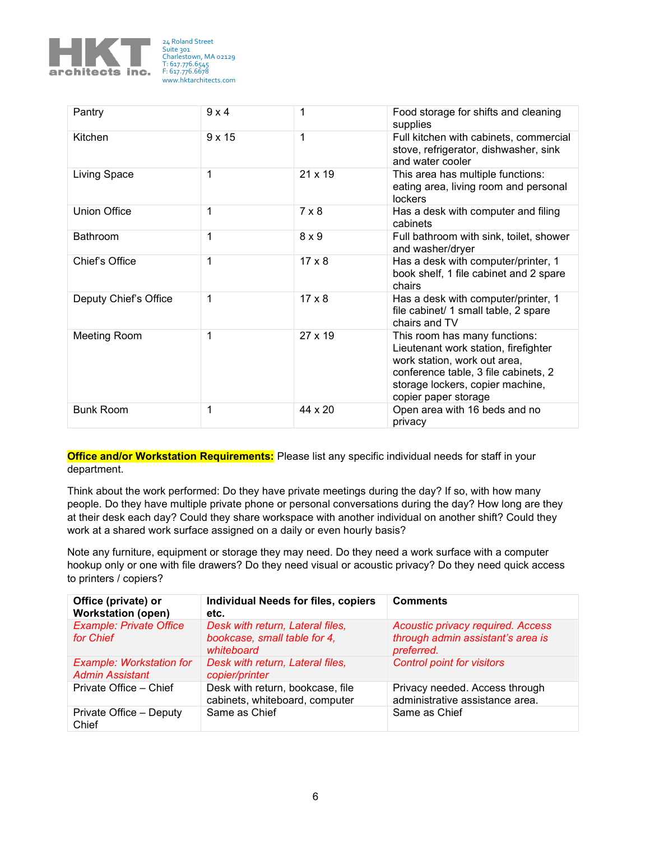

| Pantry                | 9x4           | 1                                                                                                | Food storage for shifts and cleaning<br>supplies                                                                                                                                                          |  |  |
|-----------------------|---------------|--------------------------------------------------------------------------------------------------|-----------------------------------------------------------------------------------------------------------------------------------------------------------------------------------------------------------|--|--|
| Kitchen               | $9 \times 15$ | 1                                                                                                | Full kitchen with cabinets, commercial<br>stove, refrigerator, dishwasher, sink<br>and water cooler                                                                                                       |  |  |
| Living Space          | 1             | 21 x 19<br>This area has multiple functions:<br>eating area, living room and personal<br>lockers |                                                                                                                                                                                                           |  |  |
| <b>Union Office</b>   | 1             | $7 \times 8$                                                                                     | Has a desk with computer and filing<br>cabinets                                                                                                                                                           |  |  |
| <b>Bathroom</b>       | $\mathbf 1$   | $8 \times 9$                                                                                     | Full bathroom with sink, toilet, shower<br>and washer/dryer                                                                                                                                               |  |  |
| Chief's Office        | 1             | $17 \times 8$                                                                                    | Has a desk with computer/printer, 1<br>book shelf, 1 file cabinet and 2 spare<br>chairs                                                                                                                   |  |  |
| Deputy Chief's Office | 1             | $17 \times 8$                                                                                    | Has a desk with computer/printer, 1<br>file cabinet/ 1 small table, 2 spare<br>chairs and TV                                                                                                              |  |  |
| <b>Meeting Room</b>   | 1             | $27 \times 19$                                                                                   | This room has many functions:<br>Lieutenant work station, firefighter<br>work station, work out area,<br>conference table, 3 file cabinets, 2<br>storage lockers, copier machine,<br>copier paper storage |  |  |
| <b>Bunk Room</b>      | 1             | 44 x 20                                                                                          | Open area with 16 beds and no<br>privacy                                                                                                                                                                  |  |  |

Office and/or Workstation Requirements: Please list any specific individual needs for staff in your department.

Think about the work performed: Do they have private meetings during the day? If so, with how many people. Do they have multiple private phone or personal conversations during the day? How long are they at their desk each day? Could they share workspace with another individual on another shift? Could they work at a shared work surface assigned on a daily or even hourly basis?

Note any furniture, equipment or storage they may need. Do they need a work surface with a computer hookup only or one with file drawers? Do they need visual or acoustic privacy? Do they need quick access to printers / copiers?

| Office (private) or<br><b>Workstation (open)</b>          | <b>Individual Needs for files, copiers</b><br>etc.                             | <b>Comments</b>                                                                             |
|-----------------------------------------------------------|--------------------------------------------------------------------------------|---------------------------------------------------------------------------------------------|
| <b>Example: Private Office</b><br>for Chief               | Desk with return, Lateral files,<br>bookcase, small table for 4,<br>whiteboard | <b>Acoustic privacy required. Access</b><br>through admin assistant's area is<br>preferred. |
| <b>Example: Workstation for</b><br><b>Admin Assistant</b> | Desk with return, Lateral files,<br>copier/printer                             | <b>Control point for visitors</b>                                                           |
| Private Office - Chief                                    | Desk with return, bookcase, file<br>cabinets, whiteboard, computer             | Privacy needed. Access through<br>administrative assistance area.                           |
| Private Office - Deputy<br>Chief                          | Same as Chief                                                                  | Same as Chief                                                                               |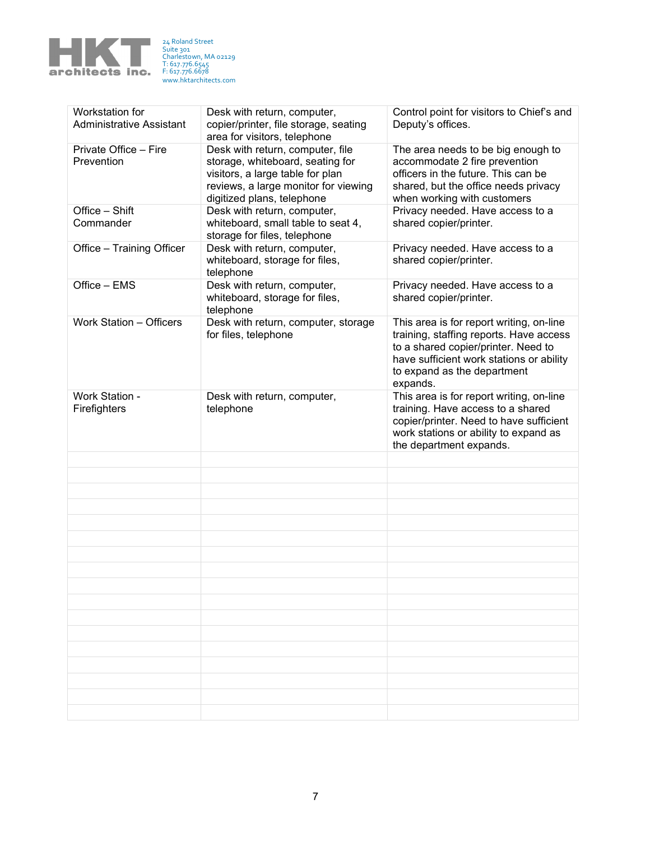

| Workstation for<br><b>Administrative Assistant</b> | Desk with return, computer,<br>copier/printer, file storage, seating<br>area for visitors, telephone                                                                           | Control point for visitors to Chief's and<br>Deputy's offices.                                                                                                                                                    |  |  |
|----------------------------------------------------|--------------------------------------------------------------------------------------------------------------------------------------------------------------------------------|-------------------------------------------------------------------------------------------------------------------------------------------------------------------------------------------------------------------|--|--|
| Private Office - Fire<br>Prevention                | Desk with return, computer, file<br>storage, whiteboard, seating for<br>visitors, a large table for plan<br>reviews, a large monitor for viewing<br>digitized plans, telephone | The area needs to be big enough to<br>accommodate 2 fire prevention<br>officers in the future. This can be<br>shared, but the office needs privacy<br>when working with customers                                 |  |  |
| Office - Shift<br>Commander                        | Desk with return, computer,<br>whiteboard, small table to seat 4,<br>storage for files, telephone                                                                              | Privacy needed. Have access to a<br>shared copier/printer.                                                                                                                                                        |  |  |
| Office - Training Officer                          | Desk with return, computer,<br>whiteboard, storage for files,<br>telephone                                                                                                     | Privacy needed. Have access to a<br>shared copier/printer.                                                                                                                                                        |  |  |
| Office - EMS                                       | Desk with return, computer,<br>whiteboard, storage for files,<br>telephone                                                                                                     | Privacy needed. Have access to a<br>shared copier/printer.                                                                                                                                                        |  |  |
| Work Station - Officers                            | Desk with return, computer, storage<br>for files, telephone                                                                                                                    | This area is for report writing, on-line<br>training, staffing reports. Have access<br>to a shared copier/printer. Need to<br>have sufficient work stations or ability<br>to expand as the department<br>expands. |  |  |
| Work Station -                                     | Desk with return, computer,                                                                                                                                                    | This area is for report writing, on-line                                                                                                                                                                          |  |  |
| Firefighters                                       | telephone                                                                                                                                                                      | training. Have access to a shared<br>copier/printer. Need to have sufficient<br>work stations or ability to expand as<br>the department expands.                                                                  |  |  |
|                                                    |                                                                                                                                                                                |                                                                                                                                                                                                                   |  |  |
|                                                    |                                                                                                                                                                                |                                                                                                                                                                                                                   |  |  |
|                                                    |                                                                                                                                                                                |                                                                                                                                                                                                                   |  |  |
|                                                    |                                                                                                                                                                                |                                                                                                                                                                                                                   |  |  |
|                                                    |                                                                                                                                                                                |                                                                                                                                                                                                                   |  |  |
|                                                    |                                                                                                                                                                                |                                                                                                                                                                                                                   |  |  |
|                                                    |                                                                                                                                                                                |                                                                                                                                                                                                                   |  |  |
|                                                    |                                                                                                                                                                                |                                                                                                                                                                                                                   |  |  |
|                                                    |                                                                                                                                                                                |                                                                                                                                                                                                                   |  |  |
|                                                    |                                                                                                                                                                                |                                                                                                                                                                                                                   |  |  |
|                                                    |                                                                                                                                                                                |                                                                                                                                                                                                                   |  |  |
|                                                    |                                                                                                                                                                                |                                                                                                                                                                                                                   |  |  |
|                                                    |                                                                                                                                                                                |                                                                                                                                                                                                                   |  |  |
|                                                    |                                                                                                                                                                                |                                                                                                                                                                                                                   |  |  |
|                                                    |                                                                                                                                                                                |                                                                                                                                                                                                                   |  |  |
|                                                    |                                                                                                                                                                                |                                                                                                                                                                                                                   |  |  |
|                                                    |                                                                                                                                                                                |                                                                                                                                                                                                                   |  |  |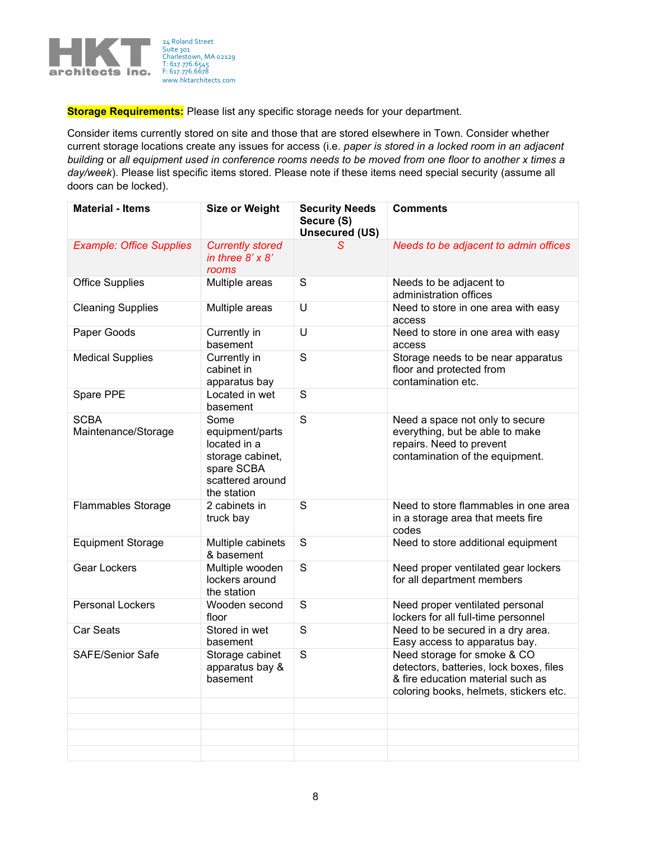

**Storage Requirements:** Please list any specific storage needs for your department.

Consider items currently stored on site and those that are stored elsewhere in Town. Consider whether current storage locations create any issues for access (i.e. paper is stored in a locked room in an adjacent building or all equipment used in conference rooms needs to be moved from one floor to another x times a day/week). Please list specific items stored. Please note if these items need special security (assume all doors can be locked).

| <b>Material - Items</b>            | <b>Size or Weight</b>                                                                                        | <b>Security Needs</b><br>Secure (S)<br><b>Unsecured (US)</b> | <b>Comments</b>                                                                                                                                       |  |  |  |  |
|------------------------------------|--------------------------------------------------------------------------------------------------------------|--------------------------------------------------------------|-------------------------------------------------------------------------------------------------------------------------------------------------------|--|--|--|--|
| <b>Example: Office Supplies</b>    | <b>Currently stored</b><br>in three $8' \times 8'$<br>rooms                                                  | s                                                            | Needs to be adjacent to admin offices                                                                                                                 |  |  |  |  |
| <b>Office Supplies</b>             | Multiple areas                                                                                               | S                                                            | Needs to be adjacent to<br>administration offices                                                                                                     |  |  |  |  |
| <b>Cleaning Supplies</b>           | Multiple areas                                                                                               | U                                                            | Need to store in one area with easy<br>access                                                                                                         |  |  |  |  |
| Paper Goods                        | Currently in<br>basement                                                                                     | U                                                            | Need to store in one area with easy<br>access                                                                                                         |  |  |  |  |
| <b>Medical Supplies</b>            | Currently in<br>cabinet in<br>apparatus bay                                                                  | $\mathsf S$                                                  | Storage needs to be near apparatus<br>floor and protected from<br>contamination etc.                                                                  |  |  |  |  |
| Spare PPE                          | Located in wet<br>basement                                                                                   | S                                                            |                                                                                                                                                       |  |  |  |  |
| <b>SCBA</b><br>Maintenance/Storage | Some<br>equipment/parts<br>located in a<br>storage cabinet,<br>spare SCBA<br>scattered around<br>the station | S                                                            | Need a space not only to secure<br>everything, but be able to make<br>repairs. Need to prevent<br>contamination of the equipment.                     |  |  |  |  |
| <b>Flammables Storage</b>          | 2 cabinets in<br>truck bay                                                                                   | S                                                            | Need to store flammables in one area<br>in a storage area that meets fire<br>codes                                                                    |  |  |  |  |
| <b>Equipment Storage</b>           | Multiple cabinets<br>& basement                                                                              | $\mathbf S$<br>Need to store additional equipment            |                                                                                                                                                       |  |  |  |  |
| Gear Lockers                       | Multiple wooden<br>lockers around<br>the station                                                             | S                                                            | Need proper ventilated gear lockers<br>for all department members                                                                                     |  |  |  |  |
| <b>Personal Lockers</b>            | Wooden second<br>floor                                                                                       | $\mathsf S$                                                  | Need proper ventilated personal<br>lockers for all full-time personnel                                                                                |  |  |  |  |
| <b>Car Seats</b>                   | Stored in wet<br>basement                                                                                    | S                                                            | Need to be secured in a dry area.<br>Easy access to apparatus bay.                                                                                    |  |  |  |  |
| <b>SAFE/Senior Safe</b>            | Storage cabinet<br>apparatus bay &<br>basement                                                               | S                                                            | Need storage for smoke & CO<br>detectors, batteries, lock boxes, files<br>& fire education material such as<br>coloring books, helmets, stickers etc. |  |  |  |  |
|                                    |                                                                                                              |                                                              |                                                                                                                                                       |  |  |  |  |
|                                    |                                                                                                              |                                                              |                                                                                                                                                       |  |  |  |  |
|                                    |                                                                                                              |                                                              |                                                                                                                                                       |  |  |  |  |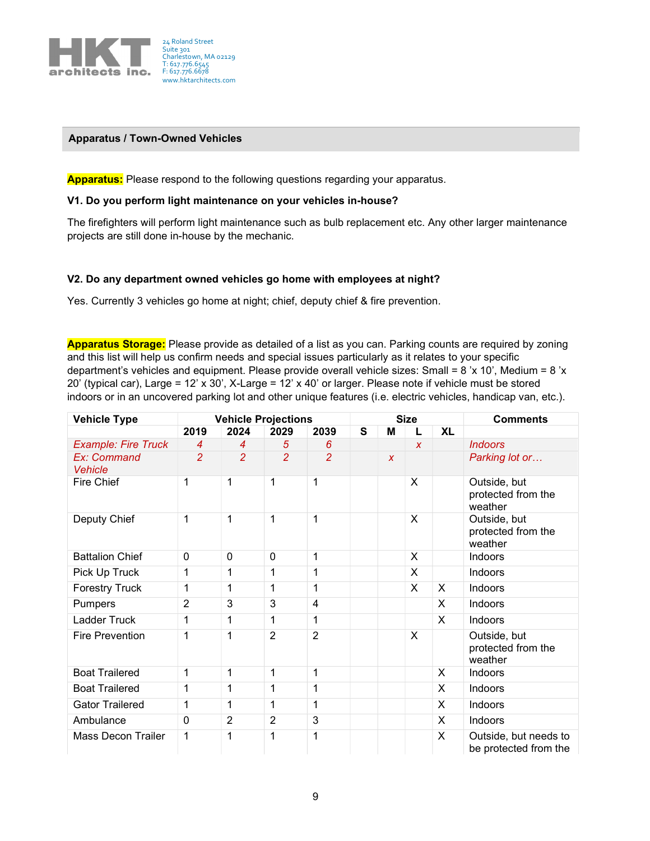

#### Apparatus / Town-Owned Vehicles

**Apparatus:** Please respond to the following questions regarding your apparatus.

#### V1. Do you perform light maintenance on your vehicles in-house?

The firefighters will perform light maintenance such as bulb replacement etc. Any other larger maintenance projects are still done in-house by the mechanic.

#### V2. Do any department owned vehicles go home with employees at night?

Yes. Currently 3 vehicles go home at night; chief, deputy chief & fire prevention.

Apparatus Storage: Please provide as detailed of a list as you can. Parking counts are required by zoning and this list will help us confirm needs and special issues particularly as it relates to your specific department's vehicles and equipment. Please provide overall vehicle sizes: Small = 8 'x 10', Medium = 8 'x 20' (typical car), Large = 12' x 30', X-Large = 12' x 40' or larger. Please note if vehicle must be stored indoors or in an uncovered parking lot and other unique features (i.e. electric vehicles, handicap van, etc.).

| <b>Vehicle Type</b>           | <b>Vehicle Projections</b> |                |                | <b>Size</b>    |   |                  |                  | <b>Comments</b> |                                                |
|-------------------------------|----------------------------|----------------|----------------|----------------|---|------------------|------------------|-----------------|------------------------------------------------|
|                               | 2019                       | 2024           | 2029           | 2039           | S | М                | L                | <b>XL</b>       |                                                |
| <b>Example: Fire Truck</b>    | $\overline{4}$             | $\overline{4}$ | 5              | 6              |   |                  | $\boldsymbol{x}$ |                 | <b>Indoors</b>                                 |
| Ex: Command<br><b>Vehicle</b> | $\overline{2}$             | $\overline{2}$ | $\overline{2}$ | $\overline{2}$ |   | $\boldsymbol{x}$ |                  |                 | Parking lot or                                 |
| Fire Chief                    | 1                          | 1              | 1              | 1              |   |                  | X                |                 | Outside, but<br>protected from the<br>weather  |
| Deputy Chief                  | 1                          | 1              | 1              | $\mathbf{1}$   |   |                  | X                |                 | Outside, but<br>protected from the<br>weather  |
| <b>Battalion Chief</b>        | $\mathbf 0$                | $\mathbf 0$    | 0              | 1              |   |                  | X                |                 | Indoors                                        |
| Pick Up Truck                 | 1                          | 1              | 1              | 1              |   |                  | X                |                 | Indoors                                        |
| <b>Forestry Truck</b>         | 1                          | 1              | 1              | 1              |   |                  | X                | X               | Indoors                                        |
| Pumpers                       | $\overline{2}$             | 3              | 3              | $\overline{4}$ |   |                  |                  | X               | Indoors                                        |
| Ladder Truck                  | 1                          | 1              | 1              | 1              |   |                  |                  | X               | Indoors                                        |
| <b>Fire Prevention</b>        | 1                          | 1              | $\overline{2}$ | $\overline{2}$ |   |                  | X                |                 | Outside, but<br>protected from the<br>weather  |
| <b>Boat Trailered</b>         | 1                          | 1              | 1              | 1              |   |                  |                  | X               | Indoors                                        |
| <b>Boat Trailered</b>         | 1                          | 1              | 1              | 1              |   |                  |                  | X               | Indoors                                        |
| <b>Gator Trailered</b>        | 1                          | 1              | 1              | 1              |   |                  |                  | X               | Indoors                                        |
| Ambulance                     | $\mathbf 0$                | $\overline{2}$ | $\overline{2}$ | 3              |   |                  |                  | X               | Indoors                                        |
| <b>Mass Decon Trailer</b>     | 1                          | 1              | 1              | 1              |   |                  |                  | X               | Outside, but needs to<br>be protected from the |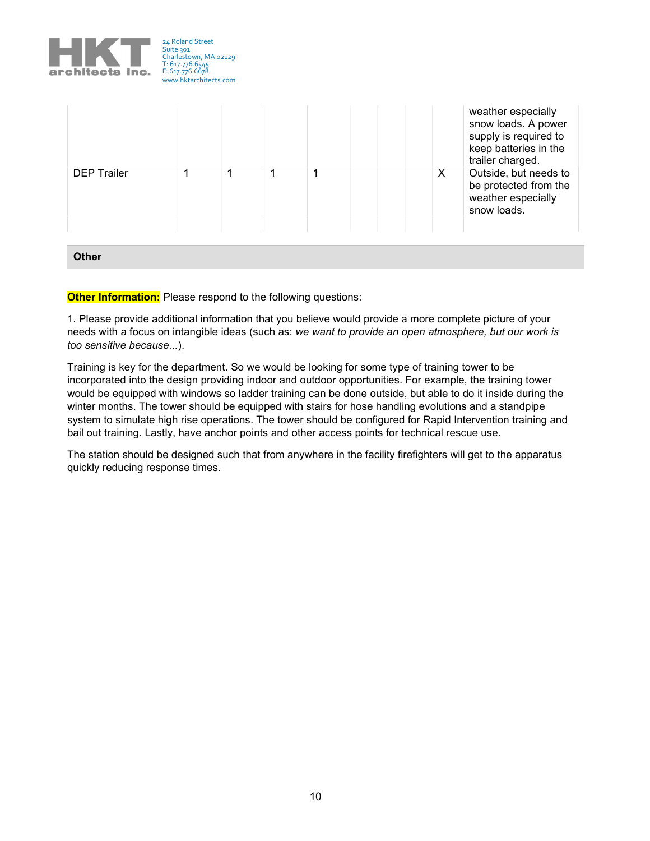

|                    |  |  |   | weather especially<br>snow loads. A power<br>supply is required to<br>keep batteries in the<br>trailer charged. |
|--------------------|--|--|---|-----------------------------------------------------------------------------------------------------------------|
| <b>DEP Trailer</b> |  |  | X | Outside, but needs to<br>be protected from the<br>weather especially<br>snow loads.                             |
|                    |  |  |   |                                                                                                                 |

**Other** 

Other Information: Please respond to the following questions:

1. Please provide additional information that you believe would provide a more complete picture of your needs with a focus on intangible ideas (such as: we want to provide an open atmosphere, but our work is too sensitive because...).

Training is key for the department. So we would be looking for some type of training tower to be incorporated into the design providing indoor and outdoor opportunities. For example, the training tower would be equipped with windows so ladder training can be done outside, but able to do it inside during the winter months. The tower should be equipped with stairs for hose handling evolutions and a standpipe system to simulate high rise operations. The tower should be configured for Rapid Intervention training and bail out training. Lastly, have anchor points and other access points for technical rescue use.

The station should be designed such that from anywhere in the facility firefighters will get to the apparatus quickly reducing response times.